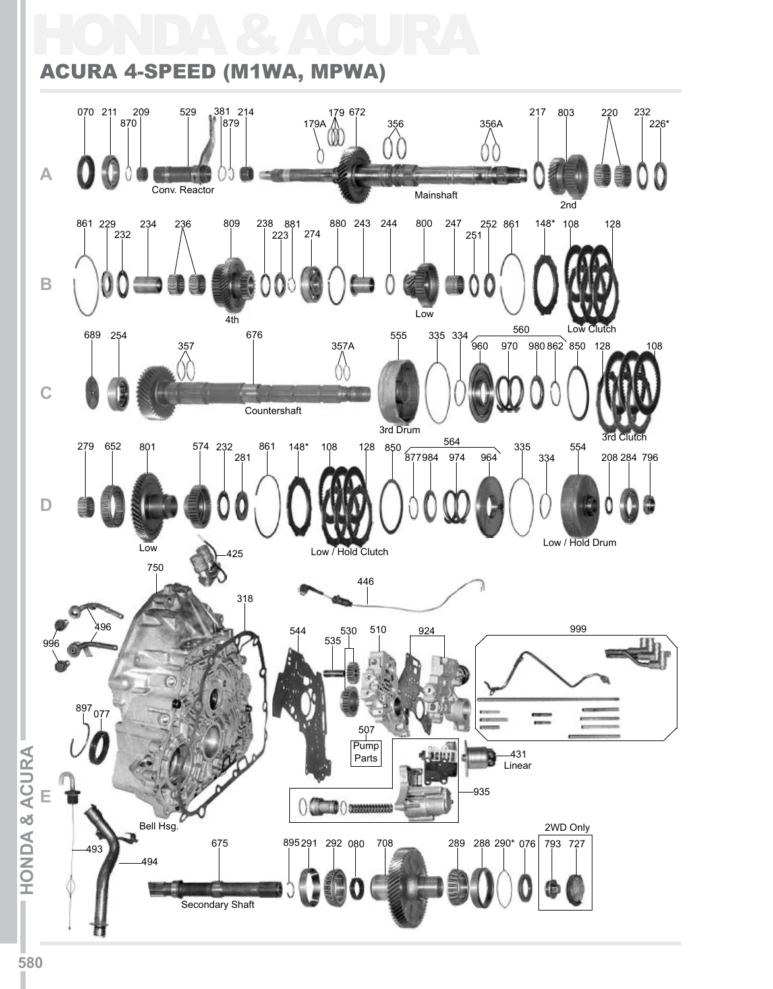